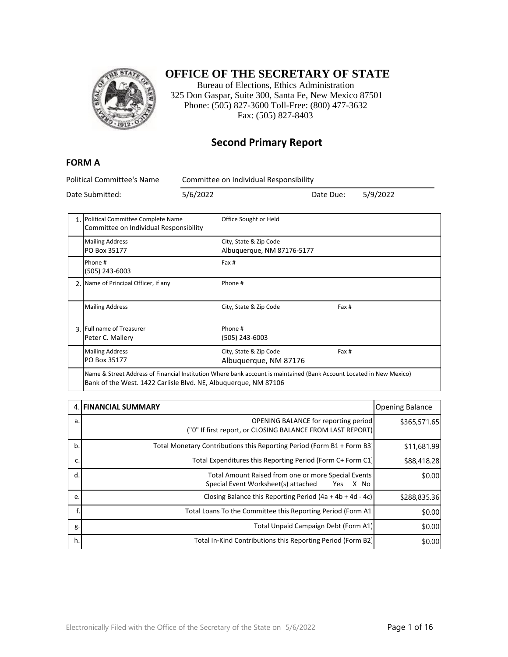

### **OFFICE OF THE SECRETARY OF STATE**

Bureau of Elections, Ethics Administration 325 Don Gaspar, Suite 300, Santa Fe, New Mexico 87501 Phone: (505) 827-3600 Toll-Free: (800) 477-3632 Fax: (505) 827-8403

#### **Second Primary Report**

#### **FORM A**

Political Committee's Name Committee on Individual Responsibility

|                                                                                                                                                                                        | 1. Political Committee Complete Name<br>Committee on Individual Responsibility | Office Sought or Held                                |       |
|----------------------------------------------------------------------------------------------------------------------------------------------------------------------------------------|--------------------------------------------------------------------------------|------------------------------------------------------|-------|
|                                                                                                                                                                                        | <b>Mailing Address</b><br>PO Box 35177                                         | City, State & Zip Code<br>Albuquerque, NM 87176-5177 |       |
|                                                                                                                                                                                        | Phone #<br>(505) 243-6003                                                      | Fax #                                                |       |
|                                                                                                                                                                                        | 2. Name of Principal Officer, if any                                           | Phone #                                              |       |
|                                                                                                                                                                                        | <b>Mailing Address</b>                                                         | City, State & Zip Code                               | Fax # |
|                                                                                                                                                                                        | 3. Full name of Treasurer<br>Peter C. Mallery                                  | Phone #<br>(505) 243-6003                            |       |
|                                                                                                                                                                                        | <b>Mailing Address</b><br>PO Box 35177                                         | City, State & Zip Code<br>Albuquerque, NM 87176      | Fax # |
| Name & Street Address of Financial Institution Where bank account is maintained (Bank Account Located in New Mexico)<br>Bank of the West 1422 Carlisle Blyd, NF, Albuquerque, NM 87106 |                                                                                |                                                      |       |

|    | <b>4. FINANCIAL SUMMARY</b>                                                                               | <b>Opening Balance</b> |
|----|-----------------------------------------------------------------------------------------------------------|------------------------|
| a. | OPENING BALANCE for reporting period<br>("0" If first report, or CLOSING BALANCE FROM LAST REPORT)        | \$365,571.65           |
| b. | Total Monetary Contributions this Reporting Period (Form B1 + Form B3)                                    | \$11,681.99            |
| c. | Total Expenditures this Reporting Period (Form C+ Form C1)                                                | \$88,418.28            |
| d. | Total Amount Raised from one or more Special Events<br>Special Event Worksheet(s) attached<br>X No<br>Yes | \$0.00                 |
| e. | Closing Balance this Reporting Period $(4a + 4b + 4d - 4c)$                                               | \$288,835.36           |
|    | Total Loans To the Committee this Reporting Period (Form A1)                                              | \$0.00                 |
| g. | Total Unpaid Campaign Debt (Form A1)                                                                      | \$0.00                 |
| h. | Total In-Kind Contributions this Reporting Period (Form B2)                                               | \$0.00                 |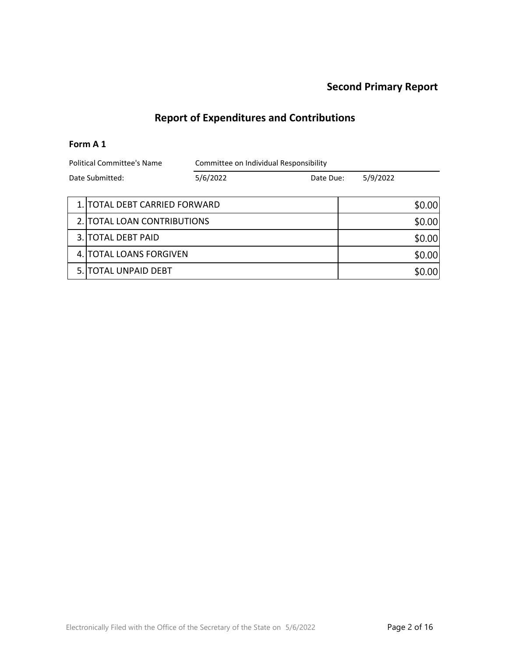# **Report of Expenditures and Contributions**

#### **Form A 1**

| <b>Political Committee's Name</b> |                               | Committee on Individual Responsibility |  |          |                  |
|-----------------------------------|-------------------------------|----------------------------------------|--|----------|------------------|
| Date Submitted:                   |                               | 5/6/2022<br>Date Due:                  |  | 5/9/2022 |                  |
|                                   | 1. TOTAL DEBT CARRIED FORWARD |                                        |  |          | \$0.00           |
|                                   | 2. TOTAL LOAN CONTRIBUTIONS   |                                        |  | \$0.00   |                  |
|                                   | 3. TOTAL DEBT PAID            |                                        |  | \$0.00   |                  |
|                                   | 4. TOTAL LOANS FORGIVEN       |                                        |  | \$0.00   |                  |
|                                   | 5.   TOTAL UNPAID DEBT        |                                        |  |          | .00 <sub>1</sub> |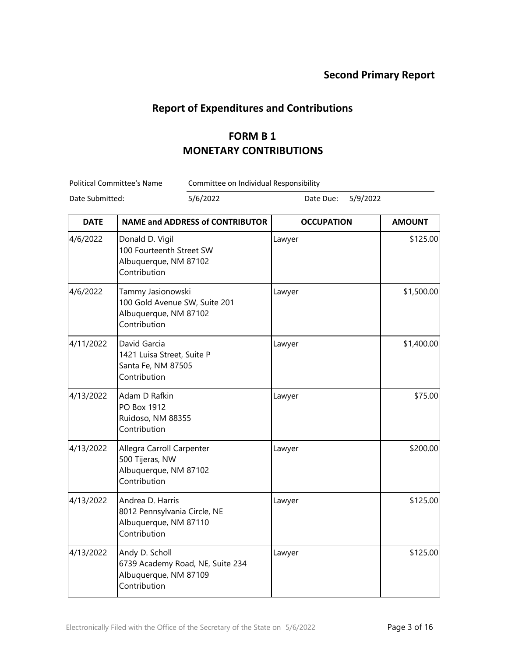#### **Report of Expenditures and Contributions**

## **FORM B 1 MONETARY CONTRIBUTIONS**

Political Committee's Name Committee on Individual Responsibility

| <b>DATE</b> | <b>NAME and ADDRESS of CONTRIBUTOR</b>                                                      | <b>OCCUPATION</b> | <b>AMOUNT</b> |
|-------------|---------------------------------------------------------------------------------------------|-------------------|---------------|
| 4/6/2022    | Donald D. Vigil<br>100 Fourteenth Street SW<br>Albuquerque, NM 87102<br>Contribution        | Lawyer            | \$125.00      |
| 4/6/2022    | Tammy Jasionowski<br>100 Gold Avenue SW, Suite 201<br>Albuquerque, NM 87102<br>Contribution | Lawyer            | \$1,500.00    |
| 4/11/2022   | David Garcia<br>1421 Luisa Street, Suite P<br>Santa Fe, NM 87505<br>Contribution            | Lawyer            | \$1,400.00    |
| 4/13/2022   | Adam D Rafkin<br>PO Box 1912<br>Ruidoso, NM 88355<br>Contribution                           | Lawyer            | \$75.00       |
| 4/13/2022   | Allegra Carroll Carpenter<br>500 Tijeras, NW<br>Albuquerque, NM 87102<br>Contribution       | Lawyer            | \$200.00      |
| 4/13/2022   | Andrea D. Harris<br>8012 Pennsylvania Circle, NE<br>Albuquerque, NM 87110<br>Contribution   | Lawyer            | \$125.00      |
| 4/13/2022   | Andy D. Scholl<br>6739 Academy Road, NE, Suite 234<br>Albuquerque, NM 87109<br>Contribution | Lawyer            | \$125.00      |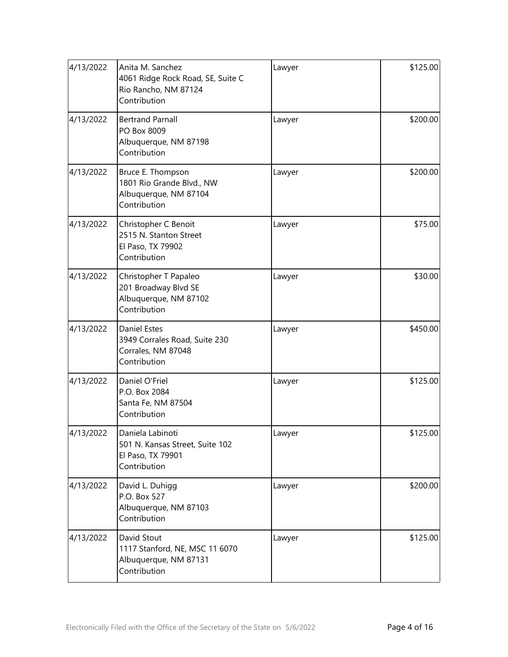| 4/13/2022 | Anita M. Sanchez<br>4061 Ridge Rock Road, SE, Suite C<br>Rio Rancho, NM 87124<br>Contribution | Lawyer | \$125.00 |
|-----------|-----------------------------------------------------------------------------------------------|--------|----------|
| 4/13/2022 | <b>Bertrand Parnall</b><br>PO Box 8009<br>Albuquerque, NM 87198<br>Contribution               | Lawyer | \$200.00 |
| 4/13/2022 | Bruce E. Thompson<br>1801 Rio Grande Blvd., NW<br>Albuquerque, NM 87104<br>Contribution       | Lawyer | \$200.00 |
| 4/13/2022 | Christopher C Benoit<br>2515 N. Stanton Street<br>El Paso, TX 79902<br>Contribution           | Lawyer | \$75.00  |
| 4/13/2022 | Christopher T Papaleo<br>201 Broadway Blvd SE<br>Albuquerque, NM 87102<br>Contribution        | Lawyer | \$30.00  |
| 4/13/2022 | <b>Daniel Estes</b><br>3949 Corrales Road, Suite 230<br>Corrales, NM 87048<br>Contribution    | Lawyer | \$450.00 |
| 4/13/2022 | Daniel O'Friel<br>P.O. Box 2084<br>Santa Fe, NM 87504<br>Contribution                         | Lawyer | \$125.00 |
| 4/13/2022 | Daniela Labinoti<br>501 N. Kansas Street, Suite 102<br>El Paso, TX 79901<br>Contribution      | Lawyer | \$125.00 |
| 4/13/2022 | David L. Duhigg<br>P.O. Box 527<br>Albuquerque, NM 87103<br>Contribution                      | Lawyer | \$200.00 |
| 4/13/2022 | David Stout<br>1117 Stanford, NE, MSC 11 6070<br>Albuquerque, NM 87131<br>Contribution        | Lawyer | \$125.00 |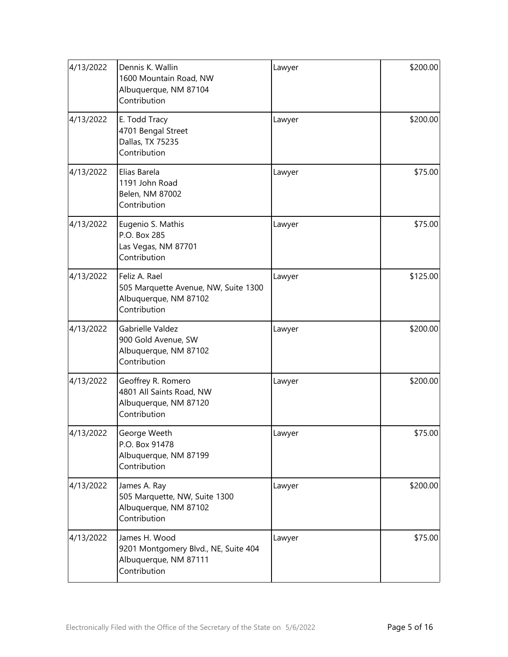| 4/13/2022 | Dennis K. Wallin<br>1600 Mountain Road, NW<br>Albuquerque, NM 87104<br>Contribution            | Lawyer | \$200.00 |
|-----------|------------------------------------------------------------------------------------------------|--------|----------|
| 4/13/2022 | E. Todd Tracy<br>4701 Bengal Street<br>Dallas, TX 75235<br>Contribution                        | Lawyer | \$200.00 |
| 4/13/2022 | Elias Barela<br>1191 John Road<br>Belen, NM 87002<br>Contribution                              | Lawyer | \$75.00  |
| 4/13/2022 | Eugenio S. Mathis<br>P.O. Box 285<br>Las Vegas, NM 87701<br>Contribution                       | Lawyer | \$75.00  |
| 4/13/2022 | Feliz A. Rael<br>505 Marquette Avenue, NW, Suite 1300<br>Albuquerque, NM 87102<br>Contribution | Lawyer | \$125.00 |
| 4/13/2022 | Gabrielle Valdez<br>900 Gold Avenue, SW<br>Albuquerque, NM 87102<br>Contribution               | Lawyer | \$200.00 |
| 4/13/2022 | Geoffrey R. Romero<br>4801 All Saints Road, NW<br>Albuquerque, NM 87120<br>Contribution        | Lawyer | \$200.00 |
| 4/13/2022 | George Weeth<br>P.O. Box 91478<br>Albuquerque, NM 87199<br>Contribution                        | Lawyer | \$75.00  |
| 4/13/2022 | James A. Ray<br>505 Marquette, NW, Suite 1300<br>Albuquerque, NM 87102<br>Contribution         | Lawyer | \$200.00 |
| 4/13/2022 | James H. Wood<br>9201 Montgomery Blvd., NE, Suite 404<br>Albuquerque, NM 87111<br>Contribution | Lawyer | \$75.00  |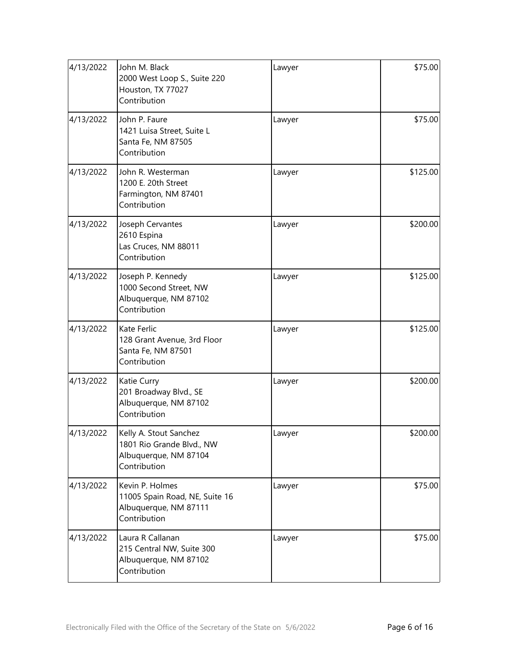| 4/13/2022 | John M. Black<br>2000 West Loop S., Suite 220<br>Houston, TX 77027<br>Contribution           | Lawyer | \$75.00  |
|-----------|----------------------------------------------------------------------------------------------|--------|----------|
| 4/13/2022 | John P. Faure<br>1421 Luisa Street, Suite L<br>Santa Fe, NM 87505<br>Contribution            | Lawyer | \$75.00  |
| 4/13/2022 | John R. Westerman<br>1200 E. 20th Street<br>Farmington, NM 87401<br>Contribution             | Lawyer | \$125.00 |
| 4/13/2022 | Joseph Cervantes<br>2610 Espina<br>Las Cruces, NM 88011<br>Contribution                      | Lawyer | \$200.00 |
| 4/13/2022 | Joseph P. Kennedy<br>1000 Second Street, NW<br>Albuquerque, NM 87102<br>Contribution         | Lawyer | \$125.00 |
| 4/13/2022 | Kate Ferlic<br>128 Grant Avenue, 3rd Floor<br>Santa Fe, NM 87501<br>Contribution             | Lawyer | \$125.00 |
| 4/13/2022 | Katie Curry<br>201 Broadway Blvd., SE<br>Albuquerque, NM 87102<br>Contribution               | Lawyer | \$200.00 |
| 4/13/2022 | Kelly A. Stout Sanchez<br>1801 Rio Grande Blvd., NW<br>Albuquerque, NM 87104<br>Contribution | Lawyer | \$200.00 |
| 4/13/2022 | Kevin P. Holmes<br>11005 Spain Road, NE, Suite 16<br>Albuquerque, NM 87111<br>Contribution   | Lawyer | \$75.00  |
| 4/13/2022 | Laura R Callanan<br>215 Central NW, Suite 300<br>Albuquerque, NM 87102<br>Contribution       | Lawyer | \$75.00  |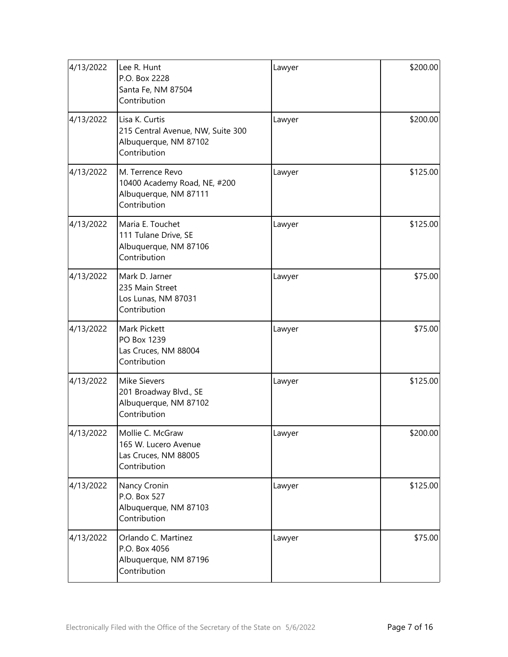| 4/13/2022 | Lee R. Hunt<br>P.O. Box 2228<br>Santa Fe, NM 87504<br>Contribution                           | Lawyer | \$200.00 |
|-----------|----------------------------------------------------------------------------------------------|--------|----------|
| 4/13/2022 | Lisa K. Curtis<br>215 Central Avenue, NW, Suite 300<br>Albuquerque, NM 87102<br>Contribution | Lawyer | \$200.00 |
| 4/13/2022 | M. Terrence Revo<br>10400 Academy Road, NE, #200<br>Albuquerque, NM 87111<br>Contribution    | Lawyer | \$125.00 |
| 4/13/2022 | Maria E. Touchet<br>111 Tulane Drive, SE<br>Albuquerque, NM 87106<br>Contribution            | Lawyer | \$125.00 |
| 4/13/2022 | Mark D. Jarner<br>235 Main Street<br>Los Lunas, NM 87031<br>Contribution                     | Lawyer | \$75.00  |
| 4/13/2022 | Mark Pickett<br>PO Box 1239<br>Las Cruces, NM 88004<br>Contribution                          | Lawyer | \$75.00  |
| 4/13/2022 | <b>Mike Sievers</b><br>201 Broadway Blvd., SE<br>Albuquerque, NM 87102<br>Contribution       | Lawyer | \$125.00 |
| 4/13/2022 | Mollie C. McGraw<br>165 W. Lucero Avenue<br>Las Cruces, NM 88005<br>Contribution             | Lawyer | \$200.00 |
| 4/13/2022 | Nancy Cronin<br>P.O. Box 527<br>Albuquerque, NM 87103<br>Contribution                        | Lawyer | \$125.00 |
| 4/13/2022 | Orlando C. Martinez<br>P.O. Box 4056<br>Albuquerque, NM 87196<br>Contribution                | Lawyer | \$75.00  |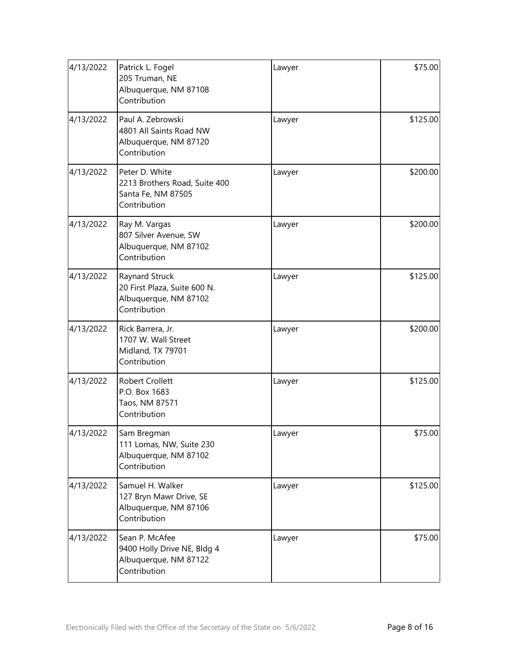| 4/13/2022 | Patrick L. Fogel<br>205 Truman, NE<br>Albuquerque, NM 87108<br>Contribution             | Lawyer | \$75.00  |
|-----------|-----------------------------------------------------------------------------------------|--------|----------|
| 4/13/2022 | Paul A. Zebrowski<br>4801 All Saints Road NW<br>Albuquerque, NM 87120<br>Contribution   | Lawyer | \$125.00 |
| 4/13/2022 | Peter D. White<br>2213 Brothers Road, Suite 400<br>Santa Fe, NM 87505<br>Contribution   | Lawyer | \$200.00 |
| 4/13/2022 | Ray M. Vargas<br>807 Silver Avenue, SW<br>Albuquerque, NM 87102<br>Contribution         | Lawyer | \$200.00 |
| 4/13/2022 | Raynard Struck<br>20 First Plaza, Suite 600 N.<br>Albuquerque, NM 87102<br>Contribution | Lawyer | \$125.00 |
| 4/13/2022 | Rick Barrera, Jr.<br>1707 W. Wall Street<br>Midland, TX 79701<br>Contribution           | Lawyer | \$200.00 |
| 4/13/2022 | Robert Crollett<br>P.O. Box 1683<br>Taos, NM 87571<br>Contribution                      | Lawyer | \$125.00 |
| 4/13/2022 | Sam Bregman<br>111 Lomas, NW, Suite 230<br>Albuquerque, NM 87102<br>Contribution        | Lawyer | \$75.00  |
| 4/13/2022 | Samuel H. Walker<br>127 Bryn Mawr Drive, SE<br>Albuquerque, NM 87106<br>Contribution    | Lawyer | \$125.00 |
| 4/13/2022 | Sean P. McAfee<br>9400 Holly Drive NE, Bldg 4<br>Albuquerque, NM 87122<br>Contribution  | Lawyer | \$75.00  |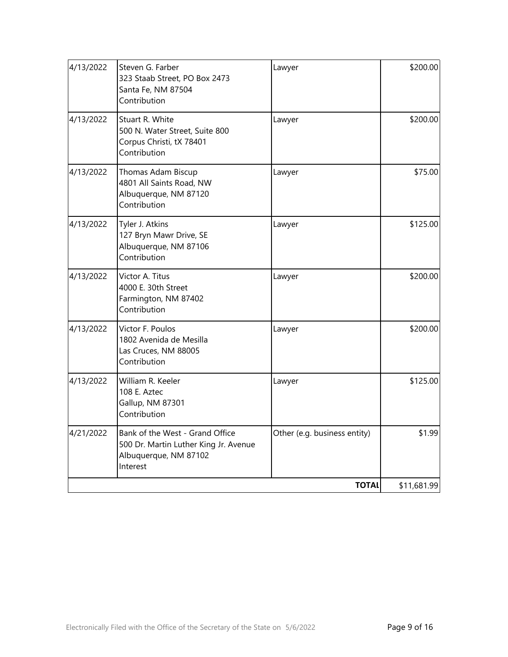| 4/13/2022 | Steven G. Farber<br>323 Staab Street, PO Box 2473<br>Santa Fe, NM 87504<br>Contribution                       | Lawyer                       | \$200.00    |
|-----------|---------------------------------------------------------------------------------------------------------------|------------------------------|-------------|
| 4/13/2022 | Stuart R. White<br>500 N. Water Street, Suite 800<br>Corpus Christi, tX 78401<br>Contribution                 | Lawyer                       | \$200.00    |
| 4/13/2022 | Thomas Adam Biscup<br>4801 All Saints Road, NW<br>Albuquerque, NM 87120<br>Contribution                       | Lawyer                       | \$75.00     |
| 4/13/2022 | Tyler J. Atkins<br>127 Bryn Mawr Drive, SE<br>Albuquerque, NM 87106<br>Contribution                           | Lawyer                       | \$125.00    |
| 4/13/2022 | Victor A. Titus<br>4000 E. 30th Street<br>Farmington, NM 87402<br>Contribution                                | Lawyer                       | \$200.00    |
| 4/13/2022 | Victor F. Poulos<br>1802 Avenida de Mesilla<br>Las Cruces, NM 88005<br>Contribution                           | Lawyer                       | \$200.00    |
| 4/13/2022 | William R. Keeler<br>108 E. Aztec<br>Gallup, NM 87301<br>Contribution                                         | Lawyer                       | \$125.00    |
| 4/21/2022 | Bank of the West - Grand Office<br>500 Dr. Martin Luther King Jr. Avenue<br>Albuquerque, NM 87102<br>Interest | Other (e.g. business entity) | \$1.99      |
|           |                                                                                                               | <b>TOTAL</b>                 | \$11,681.99 |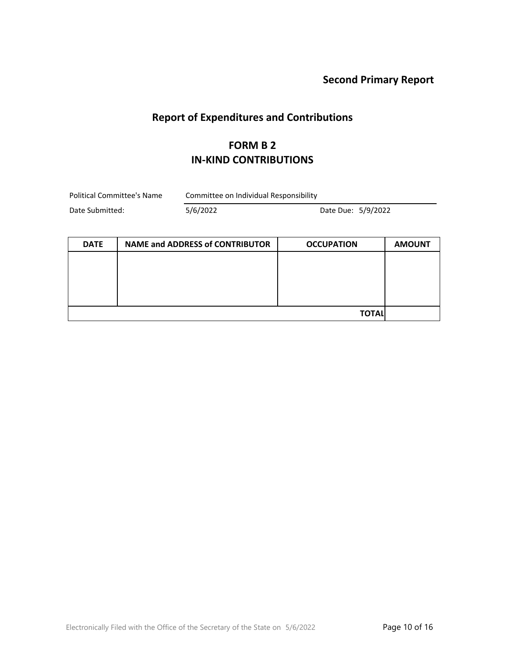# **Report of Expenditures and Contributions**

### **FORM B 2 IN-KIND CONTRIBUTIONS**

| Political Committee's Name | Committee on Individual Responsibility |                    |  |
|----------------------------|----------------------------------------|--------------------|--|
| Date Submitted:            | 5/6/2022                               | Date Due: 5/9/2022 |  |

| <b>DATE</b> | <b>NAME and ADDRESS of CONTRIBUTOR</b> | <b>OCCUPATION</b> | <b>AMOUNT</b> |
|-------------|----------------------------------------|-------------------|---------------|
|             |                                        |                   |               |
|             |                                        |                   |               |
|             |                                        |                   |               |
|             |                                        |                   |               |
|             |                                        | <b>TOTAL</b>      |               |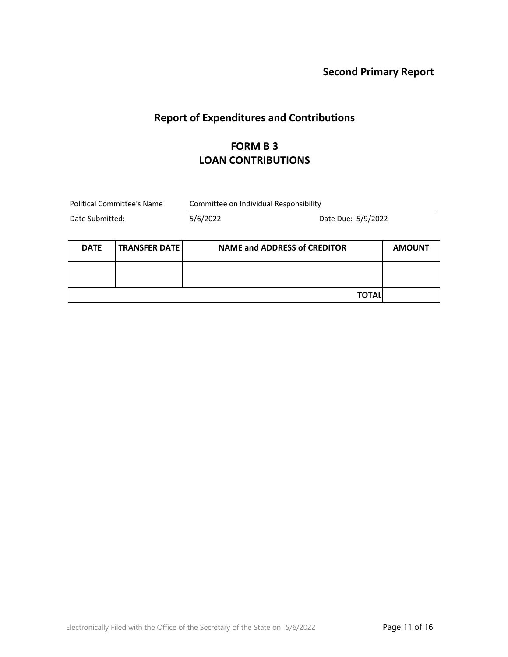### **Report of Expenditures and Contributions**

### **FORM B 3 LOAN CONTRIBUTIONS**

Political Committee's Name Committee on Individual Responsibility

| <b>DATE</b> | TRANSFER DATE | <b>NAME and ADDRESS of CREDITOR</b> | <b>AMOUNT</b> |
|-------------|---------------|-------------------------------------|---------------|
|             |               |                                     |               |
|             |               | <b>TOTAL</b>                        |               |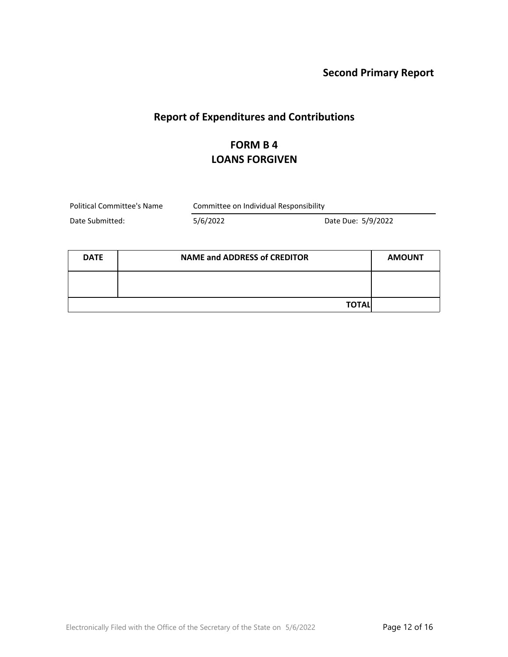# **Report of Expenditures and Contributions**

## **FORM B 4 LOANS FORGIVEN**

| Political Committee's Name |          | Committee on Individual Responsibility |  |  |
|----------------------------|----------|----------------------------------------|--|--|
| Date Submitted:            | 5/6/2022 | Date Due: 5/9/2022                     |  |  |

| <b>DATE</b> | <b>NAME and ADDRESS of CREDITOR</b> | <b>AMOUNT</b> |
|-------------|-------------------------------------|---------------|
|             |                                     |               |
|             | <b>TOTALI</b>                       |               |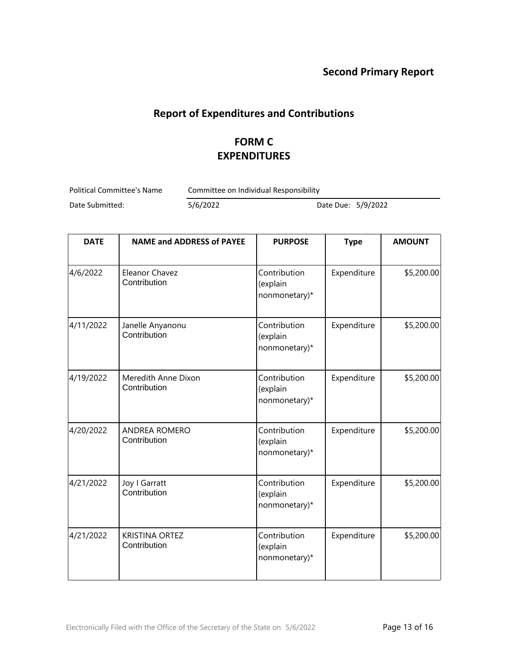#### **Report of Expenditures and Contributions**

## **FORM C EXPENDITURES**

Political Committee's Name Committee on Individual Responsibility

| <b>DATE</b> | <b>NAME and ADDRESS of PAYEE</b>      | <b>PURPOSE</b>                            | <b>Type</b> | <b>AMOUNT</b> |
|-------------|---------------------------------------|-------------------------------------------|-------------|---------------|
| 4/6/2022    | Eleanor Chavez<br>Contribution        | Contribution<br>(explain<br>nonmonetary)* | Expenditure | \$5,200.00    |
| 4/11/2022   | Janelle Anyanonu<br>Contribution      | Contribution<br>(explain<br>nonmonetary)* | Expenditure | \$5,200.00    |
| 4/19/2022   | Meredith Anne Dixon<br>Contribution   | Contribution<br>(explain<br>nonmonetary)* | Expenditure | \$5,200.00    |
| 4/20/2022   | <b>ANDREA ROMERO</b><br>Contribution  | Contribution<br>(explain<br>nonmonetary)* | Expenditure | \$5,200.00    |
| 4/21/2022   | Joy I Garratt<br>Contribution         | Contribution<br>(explain<br>nonmonetary)* | Expenditure | \$5,200.00    |
| 4/21/2022   | <b>KRISTINA ORTEZ</b><br>Contribution | Contribution<br>(explain<br>nonmonetary)* | Expenditure | \$5,200.00    |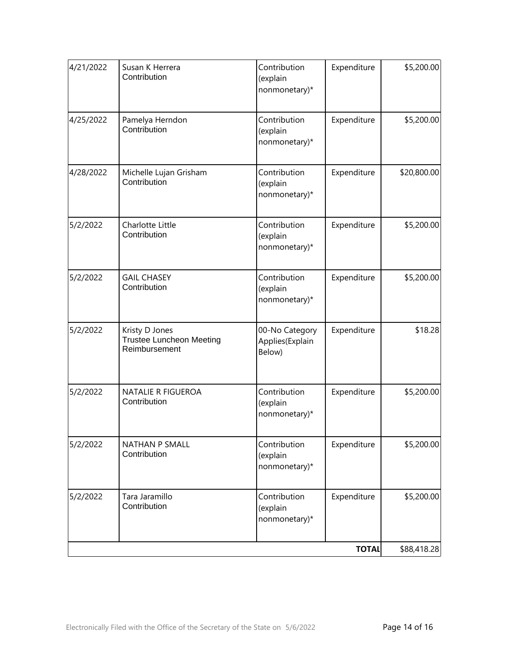| 4/21/2022 | Susan K Herrera<br>Contribution                                    | Contribution<br>(explain<br>nonmonetary)*   | Expenditure  | \$5,200.00  |
|-----------|--------------------------------------------------------------------|---------------------------------------------|--------------|-------------|
| 4/25/2022 | Pamelya Herndon<br>Contribution                                    | Contribution<br>(explain<br>nonmonetary)*   | Expenditure  | \$5,200.00  |
| 4/28/2022 | Michelle Lujan Grisham<br>Contribution                             | Contribution<br>(explain<br>nonmonetary)*   | Expenditure  | \$20,800.00 |
| 5/2/2022  | Charlotte Little<br>Contribution                                   | Contribution<br>(explain<br>nonmonetary)*   | Expenditure  | \$5,200.00  |
| 5/2/2022  | <b>GAIL CHASEY</b><br>Contribution                                 | Contribution<br>(explain<br>nonmonetary)*   | Expenditure  | \$5,200.00  |
| 5/2/2022  | Kristy D Jones<br><b>Trustee Luncheon Meeting</b><br>Reimbursement | 00-No Category<br>Applies(Explain<br>Below) | Expenditure  | \$18.28     |
| 5/2/2022  | NATALIE R FIGUEROA<br>Contribution                                 | Contribution<br>(explain<br>nonmonetary)*   | Expenditure  | \$5,200.00  |
| 5/2/2022  | NATHAN P SMALL<br>Contribution                                     | Contribution<br>(explain<br>nonmonetary)*   | Expenditure  | \$5,200.00  |
| 5/2/2022  | Tara Jaramillo<br>Contribution                                     | Contribution<br>(explain<br>nonmonetary)*   | Expenditure  | \$5,200.00  |
|           |                                                                    |                                             | <b>TOTAL</b> | \$88,418.28 |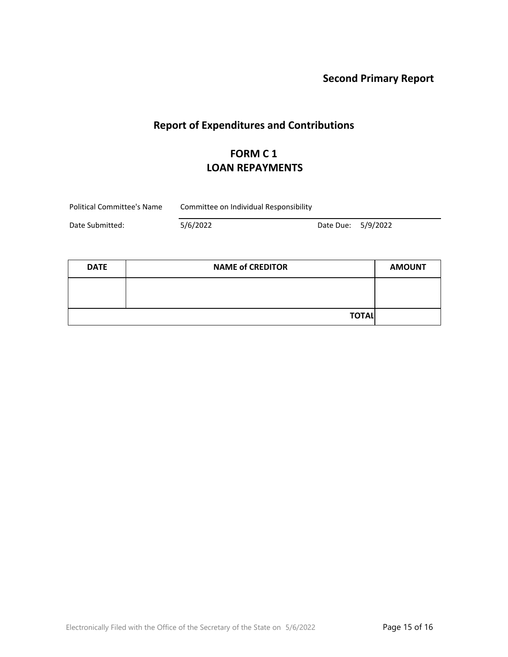# **Report of Expenditures and Contributions**

# **FORM C 1 LOAN REPAYMENTS**

| Political Committee's Name | Committee on Individual Responsibility |  |
|----------------------------|----------------------------------------|--|
|----------------------------|----------------------------------------|--|

| <b>DATE</b> | <b>NAME of CREDITOR</b> |  |
|-------------|-------------------------|--|
|             |                         |  |
|             |                         |  |
|             | <b>TOTAL</b>            |  |